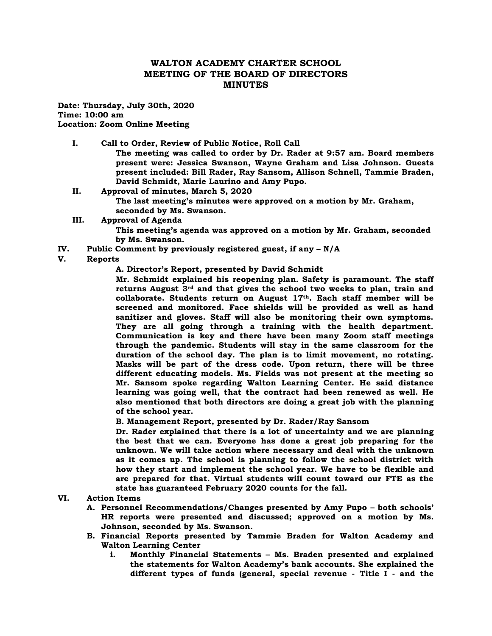# **WALTON ACADEMY CHARTER SCHOOL MEETING OF THE BOARD OF DIRECTORS MINUTES**

**Date: Thursday, July 30th, 2020 Time: 10:00 am Location: Zoom Online Meeting**

**I. Call to Order, Review of Public Notice, Roll Call** 

**The meeting was called to order by Dr. Rader at 9:57 am. Board members present were: Jessica Swanson, Wayne Graham and Lisa Johnson. Guests present included: Bill Rader, Ray Sansom, Allison Schnell, Tammie Braden, David Schmidt, Marie Laurino and Amy Pupo.**

- **II. Approval of minutes, March 5, 2020 The last meeting's minutes were approved on a motion by Mr. Graham, seconded by Ms. Swanson.**
- **III. Approval of Agenda**

**This meeting's agenda was approved on a motion by Mr. Graham, seconded by Ms. Swanson.**

**IV. Public Comment by previously registered guest, if any – N/A**

## **V. Reports**

**A. Director's Report, presented by David Schmidt**

**Mr. Schmidt explained his reopening plan. Safety is paramount. The staff returns August 3rd and that gives the school two weeks to plan, train and collaborate. Students return on August 17th. Each staff member will be screened and monitored. Face shields will be provided as well as hand sanitizer and gloves. Staff will also be monitoring their own symptoms. They are all going through a training with the health department. Communication is key and there have been many Zoom staff meetings through the pandemic. Students will stay in the same classroom for the duration of the school day. The plan is to limit movement, no rotating. Masks will be part of the dress code. Upon return, there will be three different educating models. Ms. Fields was not present at the meeting so Mr. Sansom spoke regarding Walton Learning Center. He said distance learning was going well, that the contract had been renewed as well. He also mentioned that both directors are doing a great job with the planning of the school year.**

**B. Management Report, presented by Dr. Rader/Ray Sansom**

**Dr. Rader explained that there is a lot of uncertainty and we are planning the best that we can. Everyone has done a great job preparing for the unknown. We will take action where necessary and deal with the unknown as it comes up. The school is planning to follow the school district with how they start and implement the school year. We have to be flexible and are prepared for that. Virtual students will count toward our FTE as the state has guaranteed February 2020 counts for the fall.** 

### **VI. Action Items**

- **A. Personnel Recommendations/Changes presented by Amy Pupo – both schools' HR reports were presented and discussed; approved on a motion by Ms. Johnson, seconded by Ms. Swanson.**
- **B. Financial Reports presented by Tammie Braden for Walton Academy and Walton Learning Center**
	- **i. Monthly Financial Statements – Ms. Braden presented and explained the statements for Walton Academy's bank accounts. She explained the different types of funds (general, special revenue - Title I - and the**